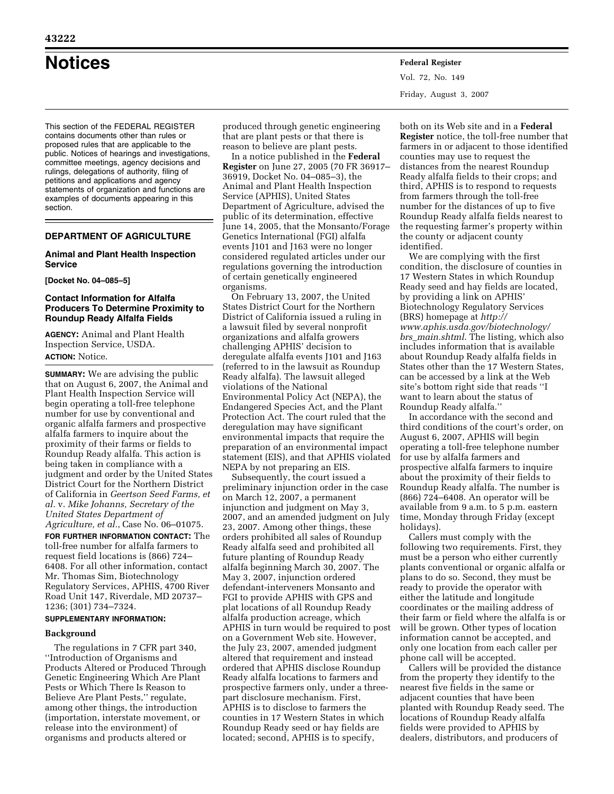# **Notices Federal Register**

Vol. 72, No. 149 Friday, August 3, 2007

This section of the FEDERAL REGISTER contains documents other than rules or proposed rules that are applicable to the public. Notices of hearings and investigations, committee meetings, agency decisions and rulings, delegations of authority, filing of petitions and applications and agency statements of organization and functions are examples of documents appearing in this section.

# **DEPARTMENT OF AGRICULTURE**

# **Animal and Plant Health Inspection Service**

**[Docket No. 04–085–5]** 

# **Contact Information for Alfalfa Producers To Determine Proximity to Roundup Ready Alfalfa Fields**

**AGENCY:** Animal and Plant Health Inspection Service, USDA. **ACTION:** Notice.

**SUMMARY:** We are advising the public that on August 6, 2007, the Animal and Plant Health Inspection Service will begin operating a toll-free telephone number for use by conventional and organic alfalfa farmers and prospective alfalfa farmers to inquire about the proximity of their farms or fields to Roundup Ready alfalfa. This action is being taken in compliance with a judgment and order by the United States District Court for the Northern District of California in *Geertson Seed Farms, et al.* v. *Mike Johanns, Secretary of the United States Department of Agriculture, et al.*, Case No. 06–01075.

**FOR FURTHER INFORMATION CONTACT:** The toll-free number for alfalfa farmers to request field locations is (866) 724– 6408. For all other information, contact Mr. Thomas Sim, Biotechnology Regulatory Services, APHIS, 4700 River Road Unit 147, Riverdale, MD 20737– 1236; (301) 734–7324.

# **SUPPLEMENTARY INFORMATION:**

## **Background**

The regulations in 7 CFR part 340, ''Introduction of Organisms and Products Altered or Produced Through Genetic Engineering Which Are Plant Pests or Which There Is Reason to Believe Are Plant Pests,'' regulate, among other things, the introduction (importation, interstate movement, or release into the environment) of organisms and products altered or

produced through genetic engineering that are plant pests or that there is reason to believe are plant pests.

In a notice published in the **Federal Register** on June 27, 2005 (70 FR 36917– 36919, Docket No. 04–085–3), the Animal and Plant Health Inspection Service (APHIS), United States Department of Agriculture, advised the public of its determination, effective June 14, 2005, that the Monsanto/Forage Genetics International (FGI) alfalfa events J101 and J163 were no longer considered regulated articles under our regulations governing the introduction of certain genetically engineered organisms.

On February 13, 2007, the United States District Court for the Northern District of California issued a ruling in a lawsuit filed by several nonprofit organizations and alfalfa growers challenging APHIS' decision to deregulate alfalfa events J101 and J163 (referred to in the lawsuit as Roundup Ready alfalfa). The lawsuit alleged violations of the National Environmental Policy Act (NEPA), the Endangered Species Act, and the Plant Protection Act. The court ruled that the deregulation may have significant environmental impacts that require the preparation of an environmental impact statement (EIS), and that APHIS violated NEPA by not preparing an EIS.

Subsequently, the court issued a preliminary injunction order in the case on March 12, 2007, a permanent injunction and judgment on May 3, 2007, and an amended judgment on July 23, 2007. Among other things, these orders prohibited all sales of Roundup Ready alfalfa seed and prohibited all future planting of Roundup Ready alfalfa beginning March 30, 2007. The May 3, 2007, injunction ordered defendant-interveners Monsanto and FGI to provide APHIS with GPS and plat locations of all Roundup Ready alfalfa production acreage, which APHIS in turn would be required to post on a Government Web site. However, the July 23, 2007, amended judgment altered that requirement and instead ordered that APHIS disclose Roundup Ready alfalfa locations to farmers and prospective farmers only, under a threepart disclosure mechanism. First, APHIS is to disclose to farmers the counties in 17 Western States in which Roundup Ready seed or hay fields are located; second, APHIS is to specify,

both on its Web site and in a **Federal Register** notice, the toll-free number that farmers in or adjacent to those identified counties may use to request the distances from the nearest Roundup Ready alfalfa fields to their crops; and third, APHIS is to respond to requests from farmers through the toll-free number for the distances of up to five Roundup Ready alfalfa fields nearest to the requesting farmer's property within the county or adjacent county identified.

We are complying with the first condition, the disclosure of counties in 17 Western States in which Roundup Ready seed and hay fields are located, by providing a link on APHIS' Biotechnology Regulatory Services (BRS) homepage at *http:// www.aphis.usda.gov/biotechnology/ brs*\_*main.shtml*. The listing, which also includes information that is available about Roundup Ready alfalfa fields in States other than the 17 Western States, can be accessed by a link at the Web site's bottom right side that reads ''I want to learn about the status of Roundup Ready alfalfa.''

In accordance with the second and third conditions of the court's order, on August 6, 2007, APHIS will begin operating a toll-free telephone number for use by alfalfa farmers and prospective alfalfa farmers to inquire about the proximity of their fields to Roundup Ready alfalfa. The number is (866) 724–6408. An operator will be available from 9 a.m. to 5 p.m. eastern time, Monday through Friday (except holidays).

Callers must comply with the following two requirements. First, they must be a person who either currently plants conventional or organic alfalfa or plans to do so. Second, they must be ready to provide the operator with either the latitude and longitude coordinates or the mailing address of their farm or field where the alfalfa is or will be grown. Other types of location information cannot be accepted, and only one location from each caller per phone call will be accepted.

Callers will be provided the distance from the property they identify to the nearest five fields in the same or adjacent counties that have been planted with Roundup Ready seed. The locations of Roundup Ready alfalfa fields were provided to APHIS by dealers, distributors, and producers of